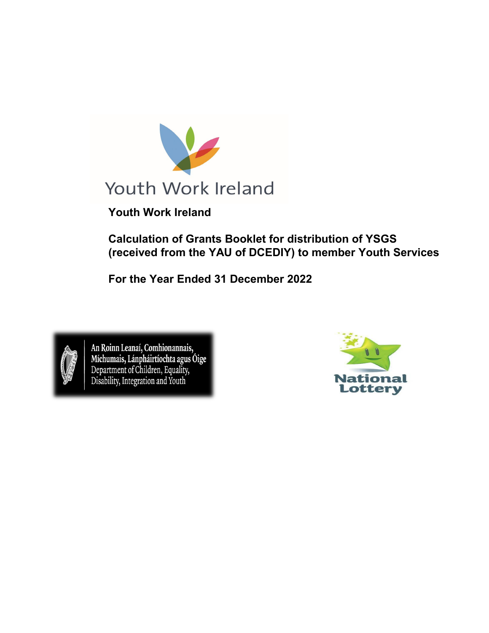

**Youth Work Ireland**

**Calculation of Grants Booklet for distribution of YSGS (received from the YAU of DCEDIY) to member Youth Services**

**For the Year Ended 31 December 2022**



An Roinn Leanaí, Comhionannais,<br>Míchumais, Lánpháirtíochta agus Óige<br>Department of Children, Equality,<br>Disability, Integration and Youth

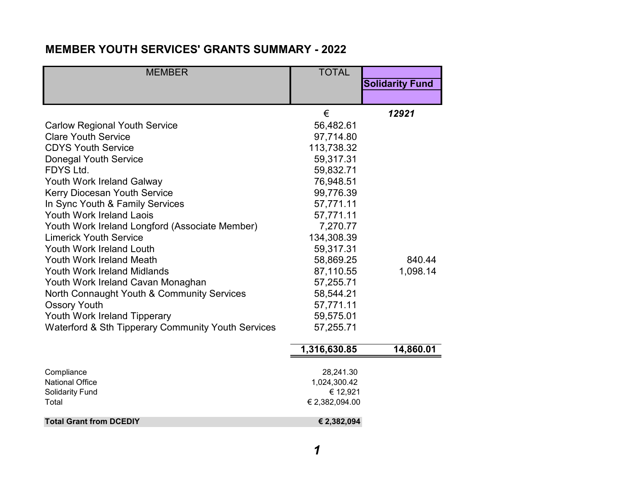# **MEMBER YOUTH SERVICES' GRANTS SUMMARY - 2022**

| <b>MEMBER</b>                                      | <b>TOTAL</b> |                        |
|----------------------------------------------------|--------------|------------------------|
|                                                    |              | <b>Solidarity Fund</b> |
|                                                    |              |                        |
|                                                    | €            | 12921                  |
| <b>Carlow Regional Youth Service</b>               | 56,482.61    |                        |
| <b>Clare Youth Service</b>                         | 97,714.80    |                        |
| <b>CDYS Youth Service</b>                          | 113,738.32   |                        |
| <b>Donegal Youth Service</b>                       | 59,317.31    |                        |
| FDYS Ltd.                                          | 59,832.71    |                        |
| Youth Work Ireland Galway                          | 76,948.51    |                        |
| <b>Kerry Diocesan Youth Service</b>                | 99,776.39    |                        |
| In Sync Youth & Family Services                    | 57,771.11    |                        |
| <b>Youth Work Ireland Laois</b>                    | 57,771.11    |                        |
| Youth Work Ireland Longford (Associate Member)     | 7,270.77     |                        |
| <b>Limerick Youth Service</b>                      | 134,308.39   |                        |
| Youth Work Ireland Louth                           | 59,317.31    |                        |
| <b>Youth Work Ireland Meath</b>                    | 58,869.25    | 840.44                 |
| <b>Youth Work Ireland Midlands</b>                 | 87,110.55    | 1,098.14               |
| Youth Work Ireland Cavan Monaghan                  | 57,255.71    |                        |
| North Connaught Youth & Community Services         | 58,544.21    |                        |
| <b>Ossory Youth</b>                                | 57,771.11    |                        |
| Youth Work Ireland Tipperary                       | 59,575.01    |                        |
| Waterford & Sth Tipperary Community Youth Services | 57,255.71    |                        |
|                                                    | 1,316,630.85 | 14,860.01              |
|                                                    |              |                        |

| Compliance                     | 28,241.30      |
|--------------------------------|----------------|
| National Office                | 1,024,300.42   |
| <b>Solidarity Fund</b>         | € 12.921       |
| Total                          | € 2,382,094.00 |
| <b>Total Grant from DCEDIY</b> | € 2,382,094    |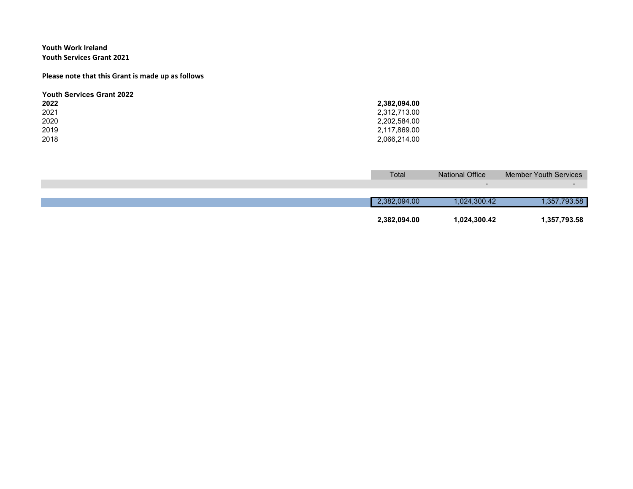### **Youth Work Ireland Youth Services Grant 2021**

#### **Please note that this Grant is made up as follows**

| <b>Youth Services Grant 2022</b> |              |
|----------------------------------|--------------|
| 2022                             | 2,382,094.00 |
| 2021                             | 2,312,713.00 |
| 2020                             | 2.202.584.00 |
| 2019                             | 2.117.869.00 |
| 2018                             | 2,066,214.00 |

| Total        | <b>National Office</b> | <b>Member Youth Services</b> |
|--------------|------------------------|------------------------------|
|              |                        |                              |
|              |                        |                              |
| 2.382.094.00 | 024,300.42             | .357,793.58                  |
| 2,382,094.00 | 1,024,300.42           | 1,357,793.58                 |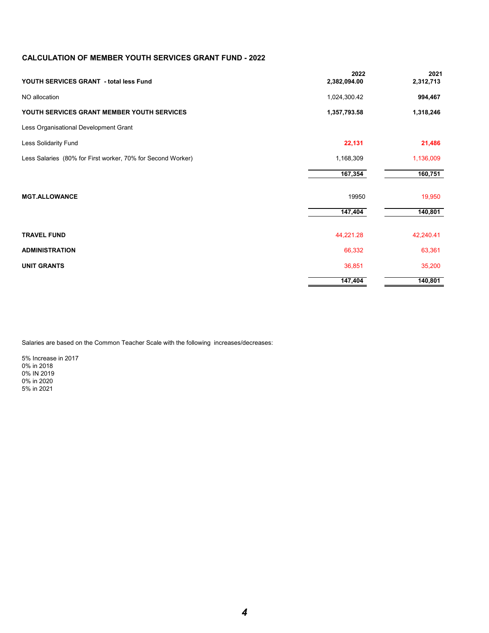## **CALCULATION OF MEMBER YOUTH SERVICES GRANT FUND - 2022**

| YOUTH SERVICES GRANT - total less Fund                      | 2022<br>2,382,094.00 | 2021<br>2,312,713 |
|-------------------------------------------------------------|----------------------|-------------------|
| NO allocation                                               | 1,024,300.42         | 994,467           |
| YOUTH SERVICES GRANT MEMBER YOUTH SERVICES                  | 1,357,793.58         | 1,318,246         |
| Less Organisational Development Grant                       |                      |                   |
| Less Solidarity Fund                                        | 22,131               | 21,486            |
| Less Salaries (80% for First worker, 70% for Second Worker) | 1,168,309            | 1,136,009         |
|                                                             | 167,354              | 160,751           |
| <b>MGT.ALLOWANCE</b>                                        | 19950                | 19,950            |
|                                                             | 147,404              | 140,801           |
| <b>TRAVEL FUND</b>                                          | 44,221.28            | 42,240.41         |
| <b>ADMINISTRATION</b>                                       | 66,332               | 63,361            |
| <b>UNIT GRANTS</b>                                          | 36,851               | 35,200            |
|                                                             | 147,404              | 140,801           |

Salaries are based on the Common Teacher Scale with the following increases/decreases:

5% Increase in 2017 0% in 2018 0% IN 2019 0% in 2020 5% in 2021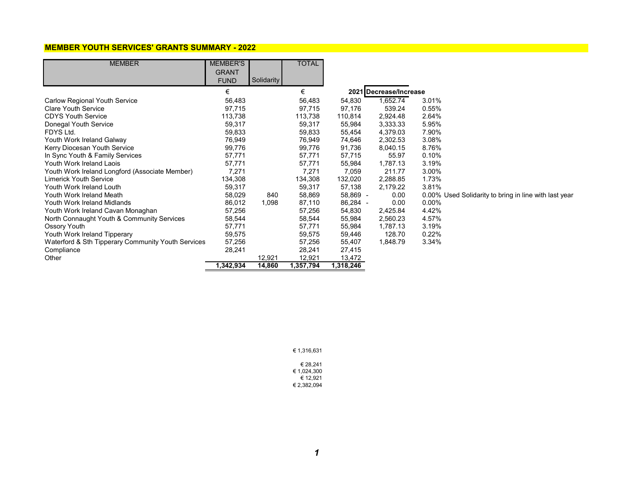#### **MEMBER YOUTH SERVICES' GRANTS SUMMARY - 2022**

| <b>MEMBER</b>                                      | <b>MEMBER'S</b> |                   | <b>TOTAL</b> |           |                        |                                                       |
|----------------------------------------------------|-----------------|-------------------|--------------|-----------|------------------------|-------------------------------------------------------|
|                                                    | <b>GRANT</b>    |                   |              |           |                        |                                                       |
|                                                    | <b>FUND</b>     | <b>Solidarity</b> |              |           |                        |                                                       |
|                                                    | €               |                   | €            |           | 2021 Decrease/Increase |                                                       |
| <b>Carlow Regional Youth Service</b>               | 56,483          |                   | 56,483       | 54,830    | 1,652.74               | 3.01%                                                 |
| <b>Clare Youth Service</b>                         | 97,715          |                   | 97,715       | 97,176    | 539.24                 | $0.55\%$                                              |
| <b>CDYS Youth Service</b>                          | 113,738         |                   | 113,738      | 110,814   | 2,924.48               | 2.64%                                                 |
| Donegal Youth Service                              | 59,317          |                   | 59,317       | 55,984    | 3,333.33               | 5.95%                                                 |
| FDYS Ltd.                                          | 59,833          |                   | 59,833       | 55,454    | 4,379.03               | 7.90%                                                 |
| Youth Work Ireland Galway                          | 76,949          |                   | 76,949       | 74,646    | 2,302.53               | 3.08%                                                 |
| Kerry Diocesan Youth Service                       | 99,776          |                   | 99,776       | 91,736    | 8,040.15               | 8.76%                                                 |
| In Sync Youth & Family Services                    | 57,771          |                   | 57,771       | 57,715    | 55.97                  | 0.10%                                                 |
| Youth Work Ireland Laois                           | 57,771          |                   | 57,771       | 55,984    | 1,787.13               | 3.19%                                                 |
| Youth Work Ireland Longford (Associate Member)     | 7,271           |                   | 7,271        | 7,059     | 211.77                 | 3.00%                                                 |
| <b>Limerick Youth Service</b>                      | 134,308         |                   | 134,308      | 132,020   | 2,288.85               | 1.73%                                                 |
| Youth Work Ireland Louth                           | 59,317          |                   | 59,317       | 57,138    | 2,179.22               | 3.81%                                                 |
| Youth Work Ireland Meath                           | 58,029          | 840               | 58,869       | 58,869 -  | 0.00                   | 0.00% Used Solidarity to bring in line with last year |
| Youth Work Ireland Midlands                        | 86,012          | 1,098             | 87,110       | 86,284 -  | 0.00                   | $0.00\%$                                              |
| Youth Work Ireland Cavan Monaghan                  | 57,256          |                   | 57,256       | 54,830    | 2,425.84               | 4.42%                                                 |
| North Connaught Youth & Community Services         | 58,544          |                   | 58,544       | 55,984    | 2,560.23               | 4.57%                                                 |
| Ossory Youth                                       | 57,771          |                   | 57,771       | 55,984    | 1,787.13               | 3.19%                                                 |
| Youth Work Ireland Tipperary                       | 59,575          |                   | 59,575       | 59,446    | 128.70                 | 0.22%                                                 |
| Waterford & Sth Tipperary Community Youth Services | 57,256          |                   | 57,256       | 55,407    | 1,848.79               | 3.34%                                                 |
| Compliance                                         | 28,241          |                   | 28,241       | 27,415    |                        |                                                       |
| Other                                              |                 | 12,921            | 12,921       | 13,472    |                        |                                                       |
|                                                    | 1,342,934       | 14,860            | 1,357,794    | 1,318,246 |                        |                                                       |

€ 1,316,631

| € 28.241    |
|-------------|
| € 1.024.300 |
| € 12.921    |
| € 2,382,094 |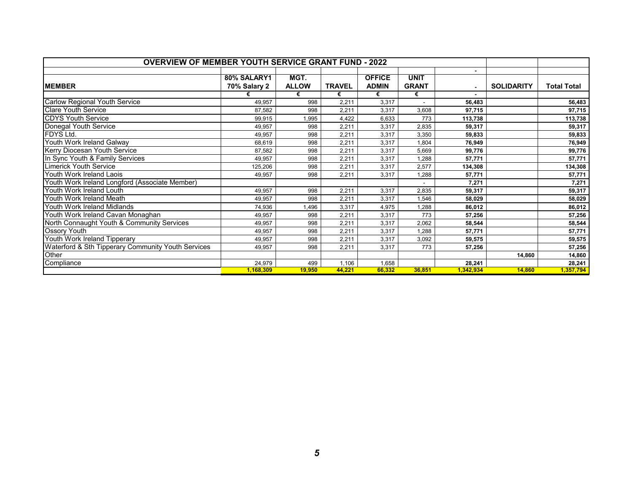| <b>OVERVIEW OF MEMBER YOUTH SERVICE GRANT FUND - 2022</b> |                             |                      |               |                               |                             |                |                   |                    |
|-----------------------------------------------------------|-----------------------------|----------------------|---------------|-------------------------------|-----------------------------|----------------|-------------------|--------------------|
| <b>MEMBER</b>                                             | 80% SALARY1<br>70% Salary 2 | MGT.<br><b>ALLOW</b> | <b>TRAVEL</b> | <b>OFFICE</b><br><b>ADMIN</b> | <b>UNIT</b><br><b>GRANT</b> | $\blacksquare$ | <b>SOLIDARITY</b> | <b>Total Total</b> |
|                                                           |                             | €                    | €             | €                             | €                           |                |                   |                    |
| <b>Carlow Regional Youth Service</b>                      | 49,957                      | 998                  | 2,211         | 3,317                         |                             | 56,483         |                   | 56,483             |
| <b>Clare Youth Service</b>                                | 87.582                      | 998                  | 2,211         | 3,317                         | 3,608                       | 97,715         |                   | 97,715             |
| <b>CDYS Youth Service</b>                                 | 99,915                      | 1,995                | 4,422         | 6,633                         | 773                         | 113,738        |                   | 113,738            |
| Donegal Youth Service                                     | 49.957                      | 998                  | 2,211         | 3,317                         | 2,835                       | 59,317         |                   | 59,317             |
| FDYS Ltd.                                                 | 49,957                      | 998                  | 2,211         | 3,317                         | 3,350                       | 59,833         |                   | 59,833             |
| Youth Work Ireland Galway                                 | 68,619                      | 998                  | 2,211         | 3,317                         | 1,804                       | 76.949         |                   | 76,949             |
| <b>Kerry Diocesan Youth Service</b>                       | 87.582                      | 998                  | 2,211         | 3,317                         | 5,669                       | 99,776         |                   | 99,776             |
| In Sync Youth & Family Services                           | 49,957                      | 998                  | 2,211         | 3,317                         | 1,288                       | 57,771         |                   | 57,771             |
| <b>Limerick Youth Service</b>                             | 125,206                     | 998                  | 2.211         | 3,317                         | 2,577                       | 134,308        |                   | 134,308            |
| Youth Work Ireland Laois                                  | 49,957                      | 998                  | 2,211         | 3,317                         | 1,288                       | 57,771         |                   | 57,771             |
| Youth Work Ireland Longford (Associate Member)            |                             |                      |               |                               |                             | 7.271          |                   | 7,271              |
| Youth Work Ireland Louth                                  | 49.957                      | 998                  | 2,211         | 3,317                         | 2,835                       | 59,317         |                   | 59,317             |
| Youth Work Ireland Meath                                  | 49,957                      | 998                  | 2,211         | 3,317                         | 1,546                       | 58.029         |                   | 58,029             |
| Youth Work Ireland Midlands                               | 74,936                      | 1,496                | 3,317         | 4,975                         | 1,288                       | 86,012         |                   | 86,012             |
| Youth Work Ireland Cavan Monaghan                         | 49,957                      | 998                  | 2,211         | 3,317                         | 773                         | 57,256         |                   | 57,256             |
| North Connaught Youth & Community Services                | 49,957                      | 998                  | 2,211         | 3,317                         | 2,062                       | 58,544         |                   | 58,544             |
| Ossory Youth                                              | 49.957                      | 998                  | 2,211         | 3,317                         | 1,288                       | 57,771         |                   | 57,771             |
| Youth Work Ireland Tipperary                              | 49,957                      | 998                  | 2,211         | 3,317                         | 3,092                       | 59,575         |                   | 59,575             |
| Waterford & Sth Tipperary Community Youth Services        | 49.957                      | 998                  | 2,211         | 3,317                         | 773                         | 57,256         |                   | 57,256             |
| Other                                                     |                             |                      |               |                               |                             |                | 14,860            | 14,860             |
| Compliance                                                | 24,979                      | 499                  | 1,106         | 1,658                         |                             | 28,241         |                   | 28,241             |
|                                                           | 1,168,309                   | 19,950               | 44,221        | 66,332                        | 36,851                      | 1,342,934      | 14,860            | 1,357,794          |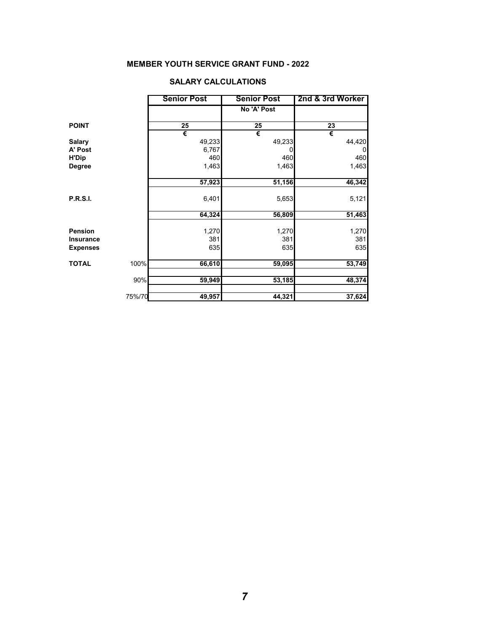# **MEMBER YOUTH SERVICE GRANT FUND - 2022**

|                      | <b>Senior Post</b> | <b>Senior Post</b> | 2nd & 3rd Worker |
|----------------------|--------------------|--------------------|------------------|
|                      |                    | No 'A' Post        |                  |
| <b>POINT</b>         | 25                 | 25                 | 23               |
|                      | €                  | €                  | €                |
| <b>Salary</b>        | 49,233             | 49,233             | 44,420           |
| A' Post              | 6,767              | 0                  | $\overline{0}$   |
| <b>H'Dip</b>         | 460                | 460                | 460              |
| <b>Degree</b>        | 1,463              | 1,463              | 1,463            |
|                      | 57,923             | 51,156             | 46,342           |
|                      |                    |                    |                  |
| <b>P.R.S.I.</b>      | 6,401              | 5,653              | 5,121            |
|                      | 64,324             | 56,809             | 51,463           |
| <b>Pension</b>       | 1,270              | 1,270              | 1,270            |
| <b>Insurance</b>     | 381                | 381                | 381              |
| <b>Expenses</b>      | 635                | 635                | 635              |
| 100%<br><b>TOTAL</b> |                    |                    |                  |
|                      | 66,610             | 59,095             | 53,749           |
| 90%                  | 59,949             | 53,185             | 48,374           |
| 75%/70               | 49,957             | 44,321             | 37,624           |

## **SALARY CALCULATIONS**

 $\overline{a}$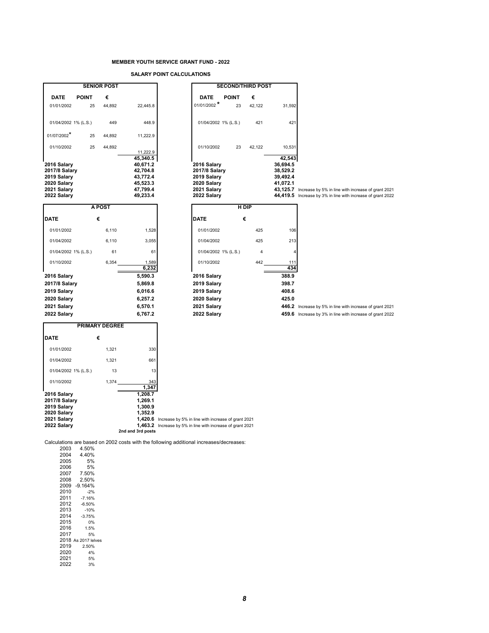#### **MEMBER YOUTH SERVICE GRANT FUND - 2022**

**SALARY POINT CALCULATIONS**

|                                                                                          |                       | <b>SENIOR POST</b> |                                                                                  |                                                                                                          |                                                                                          |              | <b>SECOND/THIRD POST</b> |                                                        |                                                                                                                            |
|------------------------------------------------------------------------------------------|-----------------------|--------------------|----------------------------------------------------------------------------------|----------------------------------------------------------------------------------------------------------|------------------------------------------------------------------------------------------|--------------|--------------------------|--------------------------------------------------------|----------------------------------------------------------------------------------------------------------------------------|
| <b>DATE</b>                                                                              | <b>POINT</b>          | €                  |                                                                                  |                                                                                                          | <b>DATE</b>                                                                              | <b>POINT</b> | €                        |                                                        |                                                                                                                            |
| 01/01/2002                                                                               | 25                    | 44,892             | 22,445.8                                                                         |                                                                                                          | $01/01/2002$ *                                                                           | 23           | 42,122                   | 31,592                                                 |                                                                                                                            |
| 01/04/2002 1% (L.S.)                                                                     |                       | 449                | 448.9                                                                            |                                                                                                          | 01/04/2002 1% (L.S.)                                                                     |              | 421                      | 421                                                    |                                                                                                                            |
| 01/07/2002*                                                                              | 25                    | 44,892             | 11,222.9                                                                         |                                                                                                          |                                                                                          |              |                          |                                                        |                                                                                                                            |
| 01/10/2002                                                                               | 25                    | 44,892             | 11,222.9                                                                         |                                                                                                          | 01/10/2002                                                                               | 23           | 42,122                   | 10,531                                                 |                                                                                                                            |
| 2016 Salary<br>2017/8 Salary<br>2019 Salary<br>2020 Salary<br>2021 Salary<br>2022 Salary |                       |                    | 45,340.5<br>40,671.2<br>42,704.8<br>43,772.4<br>45,523.3<br>47,799.4<br>49,233.4 |                                                                                                          | 2016 Salary<br>2017/8 Salary<br>2019 Salary<br>2020 Salary<br>2021 Salary<br>2022 Salary |              |                          | 42,543<br>36,694.5<br>38,529.2<br>39,492.4<br>41,072.1 | 43,125.7 Increase by 5% in line with increase of grant 2021<br>44,419.5 Increase by 3% in line with increase of grant 2022 |
|                                                                                          |                       | A POST             |                                                                                  |                                                                                                          |                                                                                          | H DIP        |                          |                                                        |                                                                                                                            |
| <b>DATE</b>                                                                              | €                     |                    |                                                                                  |                                                                                                          | <b>DATE</b>                                                                              | €            |                          |                                                        |                                                                                                                            |
| 01/01/2002                                                                               |                       | 6,110              | 1,528                                                                            |                                                                                                          | 01/01/2002                                                                               |              | 425                      | 106                                                    |                                                                                                                            |
| 01/04/2002                                                                               |                       | 6,110              | 3,055                                                                            |                                                                                                          | 01/04/2002                                                                               |              | 425                      | 213                                                    |                                                                                                                            |
| 01/04/2002 1% (L.S.)                                                                     |                       | 61                 | 61                                                                               |                                                                                                          | 01/04/2002 1% (L.S.)                                                                     |              | $\overline{4}$           | $\overline{4}$                                         |                                                                                                                            |
| 01/10/2002                                                                               |                       | 6,354              | 1,589<br>6,232                                                                   |                                                                                                          | 01/10/2002                                                                               |              | 442                      | 111<br>434                                             |                                                                                                                            |
| 2016 Salary                                                                              |                       |                    | 5,590.3                                                                          |                                                                                                          | 2016 Salary                                                                              |              |                          | 388.9                                                  |                                                                                                                            |
| 2017/8 Salary                                                                            |                       |                    | 5,869.8                                                                          |                                                                                                          | 2019 Salary                                                                              |              |                          | 398.7                                                  |                                                                                                                            |
| 2019 Salary                                                                              |                       |                    | 6,016.6                                                                          |                                                                                                          | 2019 Salary                                                                              |              |                          | 408.6                                                  |                                                                                                                            |
| 2020 Salary                                                                              |                       |                    | 6,257.2                                                                          |                                                                                                          | 2020 Salary                                                                              |              |                          | 425.0                                                  |                                                                                                                            |
| 2021 Salary                                                                              |                       |                    | 6,570.1                                                                          |                                                                                                          | 2021 Salary                                                                              |              |                          |                                                        | 446.2 Increase by 5% in line with increase of grant 2021                                                                   |
| 2022 Salary                                                                              |                       |                    | 6,767.2                                                                          |                                                                                                          | 2022 Salary                                                                              |              |                          |                                                        | 459.6 Increase by 3% in line with increase of grant 2022                                                                   |
|                                                                                          | <b>PRIMARY DEGREE</b> |                    |                                                                                  |                                                                                                          |                                                                                          |              |                          |                                                        |                                                                                                                            |
| <b>DATE</b>                                                                              | €                     |                    |                                                                                  |                                                                                                          |                                                                                          |              |                          |                                                        |                                                                                                                            |
| 01/01/2002                                                                               |                       | 1,321              | 330                                                                              |                                                                                                          |                                                                                          |              |                          |                                                        |                                                                                                                            |
| 01/04/2002                                                                               |                       | 1,321              | 661                                                                              |                                                                                                          |                                                                                          |              |                          |                                                        |                                                                                                                            |
| 01/04/2002 1% (L.S.)                                                                     |                       | 13                 | 13                                                                               |                                                                                                          |                                                                                          |              |                          |                                                        |                                                                                                                            |
| 01/10/2002                                                                               |                       | 1,374              | 343<br>1,347                                                                     |                                                                                                          |                                                                                          |              |                          |                                                        |                                                                                                                            |
| 2016 Salary<br>2017/8 Salary<br>2019 Salary<br>2020 Salary<br>2021 Salary<br>2022 Salary |                       |                    | 1,208.7<br>1,269.1<br>1,300.9<br>1,352.9<br>1,420.6<br>1,463.2                   | Increase by 5% in line with increase of grant 2021<br>Increase by 5% in line with increase of grant 2021 |                                                                                          |              |                          |                                                        |                                                                                                                            |
|                                                                                          |                       |                    | 2nd and 3rd posts                                                                |                                                                                                          |                                                                                          |              |                          |                                                        |                                                                                                                            |

Calculations are based on 2002 costs with the following additional increases/decreases:

| 2003 | 4.50%               |
|------|---------------------|
| 2004 | 4.40%               |
| 2005 | 5%                  |
| 2006 | 5%                  |
| 2007 | 7.50%               |
| 2008 | 2.50%               |
| 2009 | $-9.164%$           |
| 2010 | $-2%$               |
| 2011 | $-7.16%$            |
| 2012 | -6.50%              |
| 2013 | $-10%$              |
| 2014 | $-3.75%$            |
| 2015 | 0%                  |
| 2016 | 1.5%                |
| 2017 | 5%                  |
|      | 2018 As 2017 lelves |
| 2019 | 2.50%               |
| 2020 | 4%                  |
| 2021 | 5%                  |
| 2022 | 3%                  |
|      |                     |

| zuuz                                                       | 23 | 42. IZZ | 31.59Z                                                                         |                  |
|------------------------------------------------------------|----|---------|--------------------------------------------------------------------------------|------------------|
| 4/2002 1% (L.S.)                                           |    | 421     | 421                                                                            |                  |
| 0/2002                                                     | 23 | 42.122  | 10.531                                                                         |                  |
| Salary<br>8 Salary<br>Salary<br>Salary<br>Salary<br>Salarv |    |         | 42,543<br>36,694.5<br>38,529.2<br>39,492.4<br>41.072.1<br>43,125.7<br>44,419.5 | Increa<br>Increa |
|                                                            |    |         |                                                                                |                  |

**446.2** Increase by 5% in line with increase of grant 2021 **459.6** Increase by 3% in line with increase of grant 2022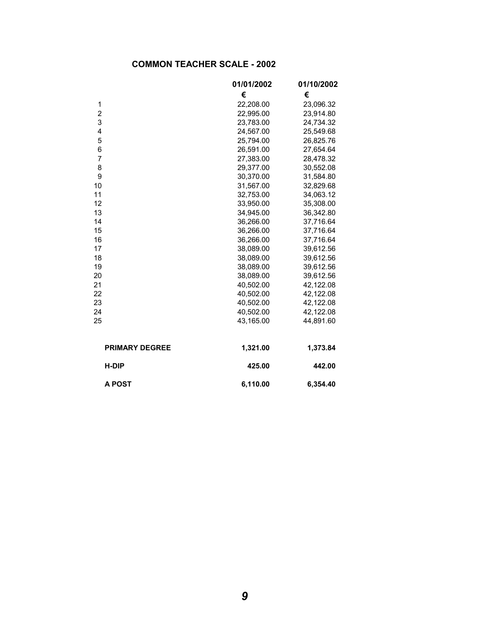# **COMMON TEACHER SCALE - 2002**

|                       | 01/01/2002 | 01/10/2002<br>€ |  |  |  |  |
|-----------------------|------------|-----------------|--|--|--|--|
|                       | €          |                 |  |  |  |  |
| 1                     | 22,208.00  | 23,096.32       |  |  |  |  |
| $\overline{2}$        | 22,995.00  | 23,914.80       |  |  |  |  |
| 3                     | 23,783.00  | 24,734.32       |  |  |  |  |
| 4                     | 24,567.00  | 25,549.68       |  |  |  |  |
| 5                     | 25,794.00  | 26,825.76       |  |  |  |  |
| 6                     | 26,591.00  | 27,654.64       |  |  |  |  |
| $\overline{7}$        | 27,383.00  | 28,478.32       |  |  |  |  |
| 8                     | 29,377.00  | 30,552.08       |  |  |  |  |
| 9                     | 30,370.00  | 31,584.80       |  |  |  |  |
| 10                    | 31,567.00  | 32,829.68       |  |  |  |  |
| 11                    | 32,753.00  | 34,063.12       |  |  |  |  |
| 12                    | 33,950.00  | 35,308.00       |  |  |  |  |
| 13                    | 34,945.00  | 36,342.80       |  |  |  |  |
| 14                    | 36,266.00  | 37,716.64       |  |  |  |  |
| 15                    | 36,266.00  | 37,716.64       |  |  |  |  |
| 16                    | 36,266.00  | 37,716.64       |  |  |  |  |
| 17                    | 38,089.00  | 39,612.56       |  |  |  |  |
| 18                    | 38,089.00  | 39,612.56       |  |  |  |  |
| 19                    | 38,089.00  | 39,612.56       |  |  |  |  |
| 20                    | 38,089.00  | 39,612.56       |  |  |  |  |
| 21                    | 40,502.00  | 42,122.08       |  |  |  |  |
| 22                    | 40,502.00  | 42,122.08       |  |  |  |  |
| 23                    | 40,502.00  | 42,122.08       |  |  |  |  |
| 24                    | 40,502.00  | 42,122.08       |  |  |  |  |
| 25                    | 43,165.00  | 44,891.60       |  |  |  |  |
|                       |            |                 |  |  |  |  |
| <b>PRIMARY DEGREE</b> | 1,321.00   | 1,373.84        |  |  |  |  |
| <b>H-DIP</b>          | 425.00     | 442.00          |  |  |  |  |
| <b>A POST</b>         | 6,110.00   | 6,354.40        |  |  |  |  |